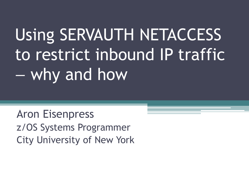# Using SERVAUTH NETACCESS to restrict inbound IP traffic – why and how

Aron Eisenpress z/OS Systems Programmer City University of New York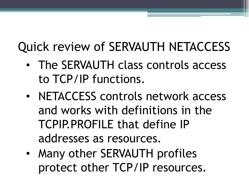#### Quick review of SERVAUTH NETACCESS

- The SERVAUTH class controls access to TCP/IP functions.
- NETACCESS controls network access and works with definitions in the TCPIP.PROFILE that define IP addresses as resources.
- Many other SERVAUTH profiles protect other TCP/IP resources.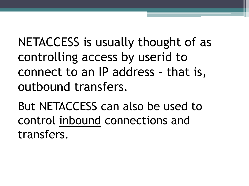NETACCESS is usually thought of as controlling access by userid to connect to an IP address – that is, outbound transfers.

But NETACCESS can also be used to control inbound connections and transfers.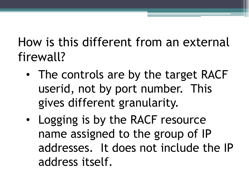How is this different from an external firewall?

- The controls are by the target RACF userid, not by port number. This gives different granularity.
- Logging is by the RACF resource name assigned to the group of IP addresses. It does not include the IP address itself.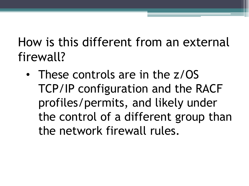How is this different from an external firewall?

• These controls are in the z/OS TCP/IP configuration and the RACF profiles/permits, and likely under the control of a different group than the network firewall rules.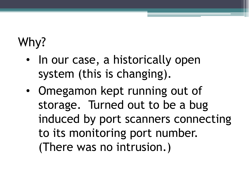## Why?

- In our case, a historically open system (this is changing).
- Omegamon kept running out of storage. Turned out to be a bug induced by port scanners connecting to its monitoring port number. (There was no intrusion.)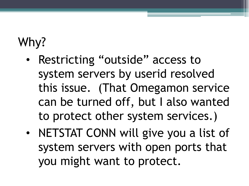### Why?

- Restricting "outside" access to system servers by userid resolved this issue. (That Omegamon service can be turned off, but I also wanted to protect other system services.)
- NETSTAT CONN will give you a list of system servers with open ports that you might want to protect.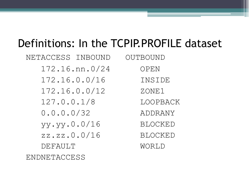#### Definitions: In the TCPIP.PROFILE dataset

| NETACCESS INBOUND | OUTBOUND       |
|-------------------|----------------|
| $172.16.$ nn.0/24 | OPEN           |
| 172.16.0.0/16     | INSIDE         |
| 172.16.0.0/12     | ZONE1          |
| 127.0.0.1/8       | LOOPBACK       |
| 0.0.0.0/32        | ADDRANY        |
| yy.yy.0.0/16      | <b>BLOCKED</b> |
| zz.zz.0.0/16      | <b>BLOCKED</b> |
| DEFAULT           | WORLD          |
| ENDNETACCESS      |                |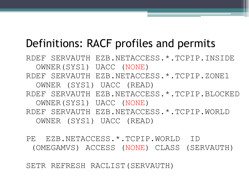#### Definitions: RACF profiles and permits

RDEF SERVAUTH EZB.NETACCESS.\*.TCPIP.INSIDE OWNER(SYS1) UACC (NONE) RDEF SERVAUTH EZB.NETACCESS.\*.TCPIP.ZONE1 OWNER (SYS1) UACC (READ) RDEF SERVAUTH EZB.NETACCESS.\*.TCPIP.BLOCKED OWNER(SYS1) UACC (NONE) RDEF SERVAUTH EZB.NETACCESS.\*.TCPIP.WORLD OWNER (SYS1) UACC (READ)

PE EZB.NETACCESS.\*.TCPIP.WORLD ID (OMEGAMVS) ACCESS (NONE) CLASS (SERVAUTH)

SETR REFRESH RACLIST(SERVAUTH)